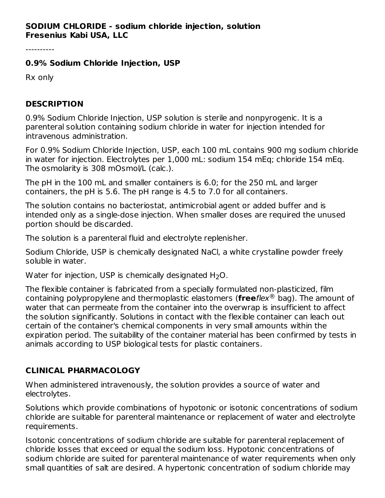----------

#### **0.9% Sodium Chloride Injection, USP**

Rx only

### **DESCRIPTION**

0.9% Sodium Chloride Injection, USP solution is sterile and nonpyrogenic. It is a parenteral solution containing sodium chloride in water for injection intended for intravenous administration.

For 0.9% Sodium Chloride Injection, USP, each 100 mL contains 900 mg sodium chloride in water for injection. Electrolytes per 1,000 mL: sodium 154 mEq; chloride 154 mEq. The osmolarity is 308 mOsmol/L (calc.).

The pH in the 100 mL and smaller containers is 6.0; for the 250 mL and larger containers, the pH is 5.6. The pH range is 4.5 to 7.0 for all containers.

The solution contains no bacteriostat, antimicrobial agent or added buffer and is intended only as a single-dose injection. When smaller doses are required the unused portion should be discarded.

The solution is a parenteral fluid and electrolyte replenisher.

Sodium Chloride, USP is chemically designated NaCl, a white crystalline powder freely soluble in water.

Water for injection, USP is chemically designated  $H_2O$ .

The flexible container is fabricated from a specially formulated non-plasticized, film containing polypropylene and thermoplastic elastomers (freeflex® bag). The amount of water that can permeate from the container into the overwrap is insufficient to affect the solution significantly. Solutions in contact with the flexible container can leach out certain of the container's chemical components in very small amounts within the expiration period. The suitability of the container material has been confirmed by tests in animals according to USP biological tests for plastic containers.

# **CLINICAL PHARMACOLOGY**

When administered intravenously, the solution provides a source of water and electrolytes.

Solutions which provide combinations of hypotonic or isotonic concentrations of sodium chloride are suitable for parenteral maintenance or replacement of water and electrolyte requirements.

Isotonic concentrations of sodium chloride are suitable for parenteral replacement of chloride losses that exceed or equal the sodium loss. Hypotonic concentrations of sodium chloride are suited for parenteral maintenance of water requirements when only small quantities of salt are desired. A hypertonic concentration of sodium chloride may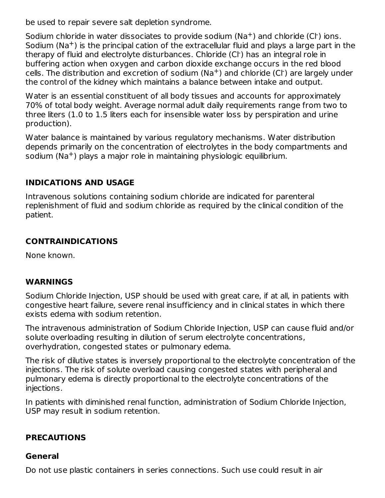be used to repair severe salt depletion syndrome.

Sodium chloride in water dissociates to provide sodium ( $\text{Na}^+$ ) and chloride (Cl ) ions. Sodium (Na<sup>+</sup>) is the principal cation of the extracellular fluid and plays a large part in the therapy of fluid and electrolyte disturbances. Chloride (Cl·) has an integral role in buffering action when oxygen and carbon dioxide exchange occurs in the red blood cells. The distribution and excretion of sodium ( $\text{Na}^+$ ) and chloride (Cl<sup>-</sup>) are largely under the control of the kidney which maintains a balance between intake and output.

Water is an essential constituent of all body tissues and accounts for approximately 70% of total body weight. Average normal adult daily requirements range from two to three liters (1.0 to 1.5 liters each for insensible water loss by perspiration and urine production).

Water balance is maintained by various regulatory mechanisms. Water distribution depends primarily on the concentration of electrolytes in the body compartments and sodium (Na $^+$ ) plays a major role in maintaining physiologic equilibrium.

### **INDICATIONS AND USAGE**

Intravenous solutions containing sodium chloride are indicated for parenteral replenishment of fluid and sodium chloride as required by the clinical condition of the patient.

### **CONTRAINDICATIONS**

None known.

#### **WARNINGS**

Sodium Chloride Injection, USP should be used with great care, if at all, in patients with congestive heart failure, severe renal insufficiency and in clinical states in which there exists edema with sodium retention.

The intravenous administration of Sodium Chloride Injection, USP can cause fluid and/or solute overloading resulting in dilution of serum electrolyte concentrations, overhydration, congested states or pulmonary edema.

The risk of dilutive states is inversely proportional to the electrolyte concentration of the injections. The risk of solute overload causing congested states with peripheral and pulmonary edema is directly proportional to the electrolyte concentrations of the injections.

In patients with diminished renal function, administration of Sodium Chloride Injection, USP may result in sodium retention.

#### **PRECAUTIONS**

#### **General**

Do not use plastic containers in series connections. Such use could result in air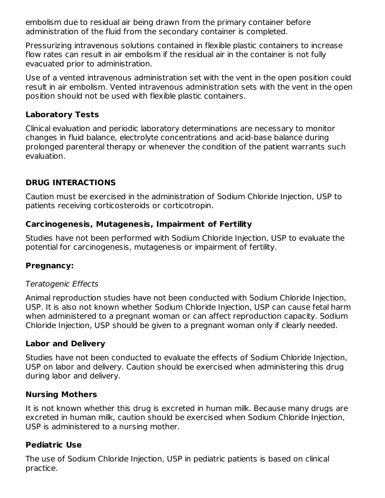embolism due to residual air being drawn from the primary container before administration of the fluid from the secondary container is completed.

Pressurizing intravenous solutions contained in flexible plastic containers to increase flow rates can result in air embolism if the residual air in the container is not fully evacuated prior to administration.

Use of a vented intravenous administration set with the vent in the open position could result in air embolism. Vented intravenous administration sets with the vent in the open position should not be used with flexible plastic containers.

### **Laboratory Tests**

Clinical evaluation and periodic laboratory determinations are necessary to monitor changes in fluid balance, electrolyte concentrations and acid-base balance during prolonged parenteral therapy or whenever the condition of the patient warrants such evaluation.

## **DRUG INTERACTIONS**

Caution must be exercised in the administration of Sodium Chloride Injection, USP to patients receiving corticosteroids or corticotropin.

### **Carcinogenesis, Mutagenesis, Impairment of Fertility**

Studies have not been performed with Sodium Chloride Injection, USP to evaluate the potential for carcinogenesis, mutagenesis or impairment of fertility.

## **Pregnancy:**

#### Teratogenic Effects

Animal reproduction studies have not been conducted with Sodium Chloride Injection, USP. It is also not known whether Sodium Chloride Injection, USP can cause fetal harm when administered to a pregnant woman or can affect reproduction capacity. Sodium Chloride Injection, USP should be given to a pregnant woman only if clearly needed.

#### **Labor and Delivery**

Studies have not been conducted to evaluate the effects of Sodium Chloride Injection, USP on labor and delivery. Caution should be exercised when administering this drug during labor and delivery.

#### **Nursing Mothers**

It is not known whether this drug is excreted in human milk. Because many drugs are excreted in human milk, caution should be exercised when Sodium Chloride Injection, USP is administered to a nursing mother.

#### **Pediatric Use**

The use of Sodium Chloride Injection, USP in pediatric patients is based on clinical practice.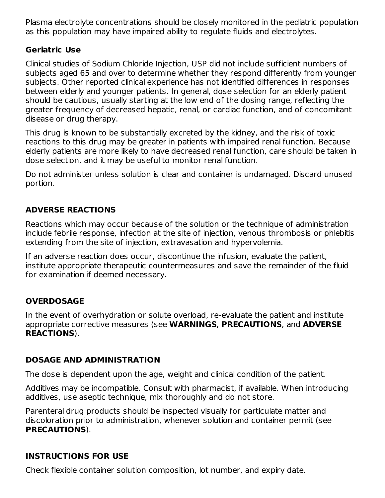Plasma electrolyte concentrations should be closely monitored in the pediatric population as this population may have impaired ability to regulate fluids and electrolytes.

### **Geriatric Use**

Clinical studies of Sodium Chloride Injection, USP did not include sufficient numbers of subjects aged 65 and over to determine whether they respond differently from younger subjects. Other reported clinical experience has not identified differences in responses between elderly and younger patients. In general, dose selection for an elderly patient should be cautious, usually starting at the low end of the dosing range, reflecting the greater frequency of decreased hepatic, renal, or cardiac function, and of concomitant disease or drug therapy.

This drug is known to be substantially excreted by the kidney, and the risk of toxic reactions to this drug may be greater in patients with impaired renal function. Because elderly patients are more likely to have decreased renal function, care should be taken in dose selection, and it may be useful to monitor renal function.

Do not administer unless solution is clear and container is undamaged. Discard unused portion.

# **ADVERSE REACTIONS**

Reactions which may occur because of the solution or the technique of administration include febrile response, infection at the site of injection, venous thrombosis or phlebitis extending from the site of injection, extravasation and hypervolemia.

If an adverse reaction does occur, discontinue the infusion, evaluate the patient, institute appropriate therapeutic countermeasures and save the remainder of the fluid for examination if deemed necessary.

## **OVERDOSAGE**

In the event of overhydration or solute overload, re-evaluate the patient and institute appropriate corrective measures (see **WARNINGS**, **PRECAUTIONS**, and **ADVERSE REACTIONS**).

## **DOSAGE AND ADMINISTRATION**

The dose is dependent upon the age, weight and clinical condition of the patient.

Additives may be incompatible. Consult with pharmacist, if available. When introducing additives, use aseptic technique, mix thoroughly and do not store.

Parenteral drug products should be inspected visually for particulate matter and discoloration prior to administration, whenever solution and container permit (see **PRECAUTIONS**).

## **INSTRUCTIONS FOR USE**

Check flexible container solution composition, lot number, and expiry date.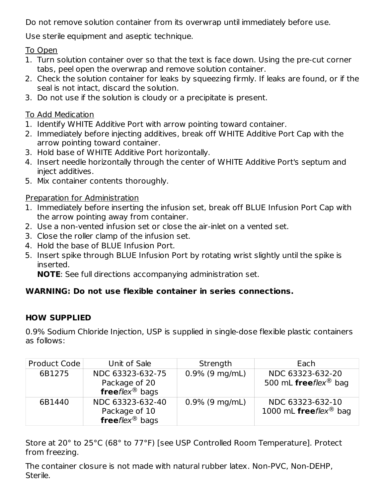Do not remove solution container from its overwrap until immediately before use.

Use sterile equipment and aseptic technique.

To Open

- 1. Turn solution container over so that the text is face down. Using the pre-cut corner tabs, peel open the overwrap and remove solution container.
- 2. Check the solution container for leaks by squeezing firmly. If leaks are found, or if the seal is not intact, discard the solution.
- 3. Do not use if the solution is cloudy or a precipitate is present.

## To Add Medication

- 1. Identify WHITE Additive Port with arrow pointing toward container.
- 2. Immediately before injecting additives, break off WHITE Additive Port Cap with the arrow pointing toward container.
- 3. Hold base of WHITE Additive Port horizontally.
- 4. Insert needle horizontally through the center of WHITE Additive Port's septum and inject additives.
- 5. Mix container contents thoroughly.

# Preparation for Administration

- 1. Immediately before inserting the infusion set, break off BLUE Infusion Port Cap with the arrow pointing away from container.
- 2. Use a non-vented infusion set or close the air-inlet on a vented set.
- 3. Close the roller clamp of the infusion set.
- 4. Hold the base of BLUE Infusion Port.
- 5. Insert spike through BLUE Infusion Port by rotating wrist slightly until the spike is inserted.

**NOTE**: See full directions accompanying administration set.

# **WARNING: Do not use flexible container in series connections.**

# **HOW SUPPLIED**

0.9% Sodium Chloride Injection, USP is supplied in single-dose flexible plastic containers as follows:

| Product Code | Unit of Sale                                                    | Strength          | Each                                                  |
|--------------|-----------------------------------------------------------------|-------------------|-------------------------------------------------------|
| 6B1275       | NDC 63323-632-75<br>Package of 20<br>freeflex <sup>®</sup> bags | $0.9\%$ (9 mg/mL) | NDC 63323-632-20<br>500 mL freeflex <sup>®</sup> bag  |
| 6B1440       | NDC 63323-632-40<br>Package of 10<br>freeflex <sup>®</sup> bags | $0.9\%$ (9 mg/mL) | NDC 63323-632-10<br>1000 mL freeflex <sup>®</sup> bag |

Store at 20° to 25°C (68° to 77°F) [see USP Controlled Room Temperature]. Protect from freezing.

The container closure is not made with natural rubber latex. Non-PVC, Non-DEHP, Sterile.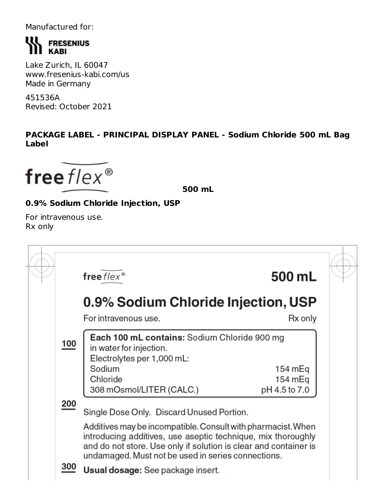Manufactured for:

# **WA FRESENIUS KABI**

Lake Zurich, IL 60047 www.fresenius-kabi.com/us Made in Germany

451536A Revised: October 2021

### **PACKAGE LABEL - PRINCIPAL DISPLAY PANEL - Sodium Chloride 500 mL Bag Label**

free  $flex^{\circledast}$ 

**500 mL**

# **0.9% Sodium Chloride Injection, USP**

For intravenous use. Rx only

|                      | free $flex^{\circledast}$                                                                                                                                                                                                                              | 500 mL             |  |
|----------------------|--------------------------------------------------------------------------------------------------------------------------------------------------------------------------------------------------------------------------------------------------------|--------------------|--|
|                      | 0.9% Sodium Chloride Injection, USP                                                                                                                                                                                                                    |                    |  |
| For intravenous use. |                                                                                                                                                                                                                                                        |                    |  |
| 100                  | Each 100 mL contains: Sodium Chloride 900 mg<br>in water for injection.<br>Electrolytes per 1,000 mL:<br>Sodium<br>Chloride                                                                                                                            | 154 mEq<br>154 mEq |  |
| 200                  | 308 mOsmol/LITER (CALC.)<br>Single Dose Only. Discard Unused Portion.                                                                                                                                                                                  | pH 4.5 to 7.0      |  |
|                      | Additives may be incompatible. Consult with pharmacist. When<br>introducing additives, use aseptic technique, mix thoroughly<br>and do not store. Use only if solution is clear and container is<br>undamaged. Must not be used in series connections. |                    |  |
| 300                  | <b>Usual dosage:</b> See package insert.                                                                                                                                                                                                               |                    |  |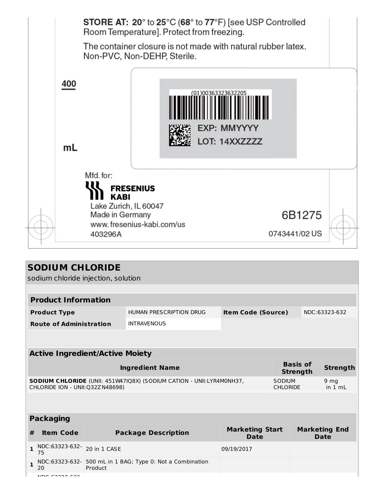|     | <b>STORE AT: 20°</b> to $25^{\circ}$ C (68° to 77°F) [see USP Controlled<br>Room Temperature]. Protect from freezing.<br>The container closure is not made with natural rubber latex.<br>Non-PVC, Non-DEHP, Sterile. |  |  |  |
|-----|----------------------------------------------------------------------------------------------------------------------------------------------------------------------------------------------------------------------|--|--|--|
| 400 | 00363323632205<br><b>EXP: MMYYYY</b><br>LOT: 14XXZZZZ                                                                                                                                                                |  |  |  |
| mL  |                                                                                                                                                                                                                      |  |  |  |
|     | Mfd. for:<br><b>FRESENIUS</b>                                                                                                                                                                                        |  |  |  |
|     | <b>KABI</b><br>Lake Zurich, IL 60047                                                                                                                                                                                 |  |  |  |
|     | 6B1275<br>Made in Germany<br>www.fresenius-kabi.com/us                                                                                                                                                               |  |  |  |
|     | 0743441/02 US<br>403296A                                                                                                                                                                                             |  |  |  |

|                                        | <b>SODIUM CHLORIDE</b>                                                                                                                                  |                                                              |                                            |                                     |                           |         |                 |  |
|----------------------------------------|---------------------------------------------------------------------------------------------------------------------------------------------------------|--------------------------------------------------------------|--------------------------------------------|-------------------------------------|---------------------------|---------|-----------------|--|
|                                        | sodium chloride injection, solution                                                                                                                     |                                                              |                                            |                                     |                           |         |                 |  |
|                                        |                                                                                                                                                         |                                                              |                                            |                                     |                           |         |                 |  |
|                                        | <b>Product Information</b>                                                                                                                              |                                                              |                                            |                                     |                           |         |                 |  |
|                                        | <b>Product Type</b>                                                                                                                                     |                                                              | <b>HUMAN PRESCRIPTION DRUG</b>             |                                     | <b>Item Code (Source)</b> |         | NDC:63323-632   |  |
|                                        | <b>Route of Administration</b>                                                                                                                          |                                                              | <b>INTRAVENOUS</b>                         |                                     |                           |         |                 |  |
|                                        |                                                                                                                                                         |                                                              |                                            |                                     |                           |         |                 |  |
|                                        |                                                                                                                                                         |                                                              |                                            |                                     |                           |         |                 |  |
| <b>Active Ingredient/Active Moiety</b> |                                                                                                                                                         |                                                              |                                            |                                     |                           |         |                 |  |
|                                        | <b>Basis of</b><br><b>Ingredient Name</b><br><b>Strength</b>                                                                                            |                                                              |                                            |                                     |                           |         | <b>Strength</b> |  |
|                                        | SODIUM CHLORIDE (UNII: 451W47IQ8X) (SODIUM CATION - UNII:LYR4M0NH37,<br>SODIUM<br>9 <sub>mg</sub><br>CHLORIDE ION - UNII:Q32ZN48698)<br><b>CHLORIDE</b> |                                                              |                                            |                                     |                           | in 1 mL |                 |  |
|                                        |                                                                                                                                                         |                                                              |                                            |                                     |                           |         |                 |  |
|                                        |                                                                                                                                                         |                                                              |                                            |                                     |                           |         |                 |  |
| <b>Packaging</b>                       |                                                                                                                                                         |                                                              |                                            |                                     |                           |         |                 |  |
| #                                      | <b>Item Code</b>                                                                                                                                        | <b>Marketing Start</b><br><b>Package Description</b><br>Date |                                            | <b>Marketing End</b><br><b>Date</b> |                           |         |                 |  |
| $\mathbf{1}$                           | NDC:63323-632-<br>75                                                                                                                                    | 20 in 1 CASE                                                 |                                            | 09/19/2017                          |                           |         |                 |  |
| 1                                      | NDC:63323-632-<br>20                                                                                                                                    | Product                                                      | 500 mL in 1 BAG; Type 0: Not a Combination |                                     |                           |         |                 |  |
|                                        | $\overline{100}$ $\overline{22222}$                                                                                                                     |                                                              |                                            |                                     |                           |         |                 |  |

NDC:63323-632-